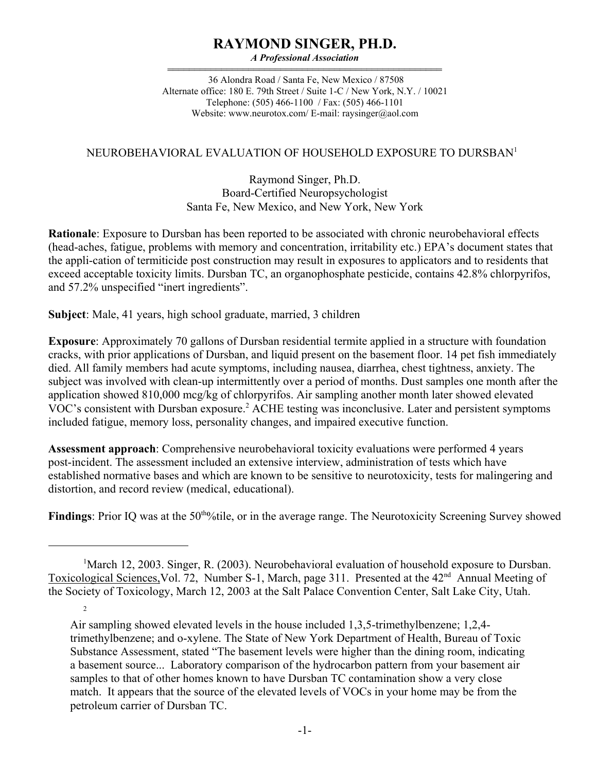# **RAYMOND SINGER, PH.D.**

*A Professional Association*

444444444444444444444444444444444444444444444444444 36 Alondra Road / Santa Fe, New Mexico / 87508 Alternate office: 180 E. 79th Street / Suite 1-C / New York, N.Y. / 10021 Telephone: (505) 466-1100 / Fax: (505) 466-1101 Website: www.neurotox.com/E-mail: raysinger@aol.com

#### NEUROBEHAVIORAL EVALUATION OF HOUSEHOLD EXPOSURE TO DURSBAN<sup>1</sup>

#### Raymond Singer, Ph.D. Board-Certified Neuropsychologist Santa Fe, New Mexico, and New York, New York

**Rationale**: Exposure to Dursban has been reported to be associated with chronic neurobehavioral effects (head-aches, fatigue, problems with memory and concentration, irritability etc.) EPA's document states that the appli-cation of termiticide post construction may result in exposures to applicators and to residents that exceed acceptable toxicity limits. Dursban TC, an organophosphate pesticide, contains 42.8% chlorpyrifos, and 57.2% unspecified "inert ingredients".

**Subject**: Male, 41 years, high school graduate, married, 3 children

2

**Exposure**: Approximately 70 gallons of Dursban residential termite applied in a structure with foundation cracks, with prior applications of Dursban, and liquid present on the basement floor. 14 pet fish immediately died. All family members had acute symptoms, including nausea, diarrhea, chest tightness, anxiety. The subject was involved with clean-up intermittently over a period of months. Dust samples one month after the application showed 810,000 mcg/kg of chlorpyrifos. Air sampling another month later showed elevated VOC's consistent with Dursban exposure.<sup>2</sup> ACHE testing was inconclusive. Later and persistent symptoms included fatigue, memory loss, personality changes, and impaired executive function.

**Assessment approach**: Comprehensive neurobehavioral toxicity evaluations were performed 4 years post-incident. The assessment included an extensive interview, administration of tests which have established normative bases and which are known to be sensitive to neurotoxicity, tests for malingering and distortion, and record review (medical, educational).

**Findings**: Prior IQ was at the 50<sup>tho</sup>/tile, or in the average range. The Neurotoxicity Screening Survey showed

<sup>&</sup>lt;sup>1</sup>March 12, 2003. Singer, R. (2003). Neurobehavioral evaluation of household exposure to Dursban. Toxicological Sciences, Vol. 72, Number S-1, March, page 311. Presented at the 42<sup>nd</sup> Annual Meeting of the Society of Toxicology, March 12, 2003 at the Salt Palace Convention Center, Salt Lake City, Utah.

Air sampling showed elevated levels in the house included 1,3,5-trimethylbenzene; 1,2,4 trimethylbenzene; and o-xylene. The State of New York Department of Health, Bureau of Toxic Substance Assessment, stated "The basement levels were higher than the dining room, indicating a basement source... Laboratory comparison of the hydrocarbon pattern from your basement air samples to that of other homes known to have Dursban TC contamination show a very close match. It appears that the source of the elevated levels of VOCs in your home may be from the petroleum carrier of Dursban TC.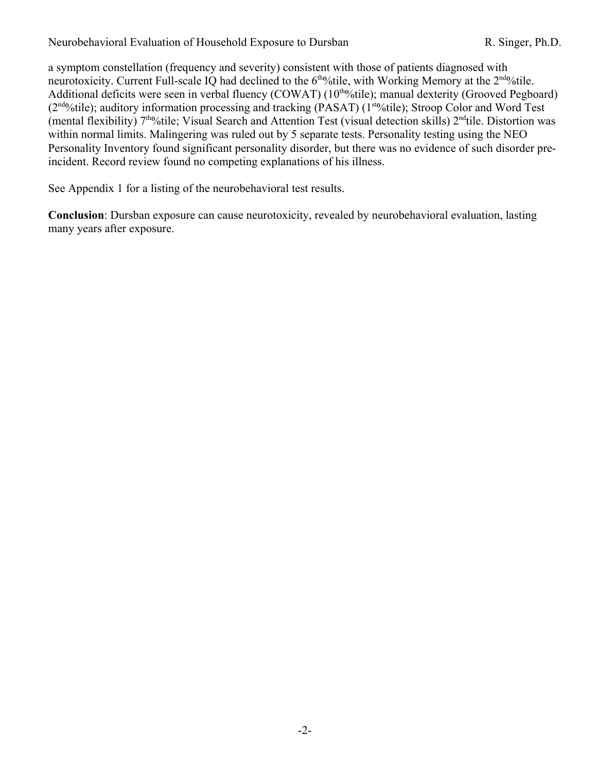a symptom constellation (frequency and severity) consistent with those of patients diagnosed with neurotoxicity. Current Full-scale IQ had declined to the 6<sup>tho</sup>/tile, with Working Memory at the 2<sup>ndo</sup>/tile. Additional deficits were seen in verbal fluency  $(COWAT)$  (10<sup>tho</sup>/tile); manual dexterity (Grooved Pegboard)  $(2<sup>nd</sup>%tile)$ ; auditory information processing and tracking (PASAT) (1<sup>sto</sup>%tile); Stroop Color and Word Test (mental flexibility)  $7<sup>th</sup>$ %tile; Visual Search and Attention Test (visual detection skills)  $2<sup>nd</sup>$ tile. Distortion was within normal limits. Malingering was ruled out by 5 separate tests. Personality testing using the NEO Personality Inventory found significant personality disorder, but there was no evidence of such disorder preincident. Record review found no competing explanations of his illness.

See Appendix 1 for a listing of the neurobehavioral test results.

**Conclusion**: Dursban exposure can cause neurotoxicity, revealed by neurobehavioral evaluation, lasting many years after exposure.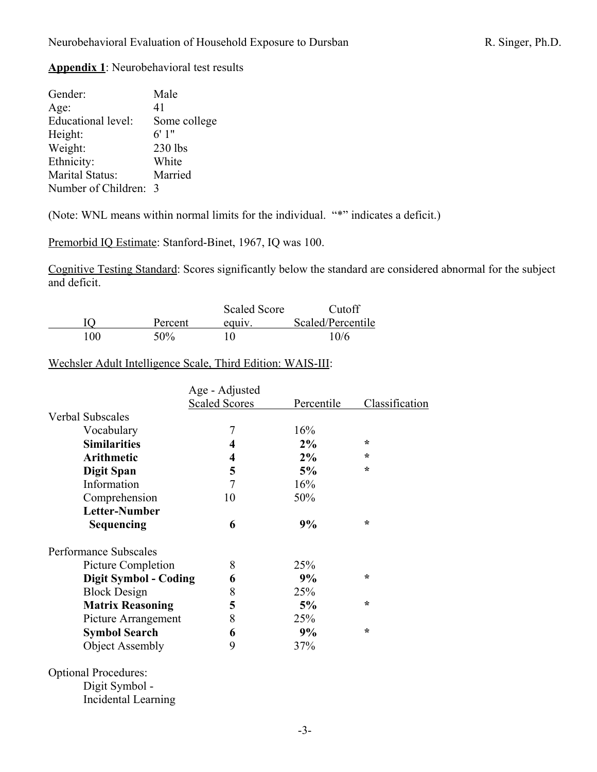# **Appendix 1**: Neurobehavioral test results

| Gender:             | Male         |
|---------------------|--------------|
| Age:                | 41           |
| Educational level:  | Some college |
| Height:             | 6'1"         |
| Weight:             | 230 lbs      |
| Ethnicity:          | White        |
| Marital Status:     | Married      |
| Number of Children: | -3           |
|                     |              |

Incidental Learning

(Note: WNL means within normal limits for the individual. "\*" indicates a deficit.)

Premorbid IQ Estimate: Stanford-Binet, 1967, IQ was 100.

Cognitive Testing Standard: Scores significantly below the standard are considered abnormal for the subject and deficit.

|     |         | <b>Scaled Score</b> | Cutoff            |
|-----|---------|---------------------|-------------------|
|     | Percent | equiv.              | Scaled/Percentile |
| 100 | 50%     |                     | 10/6              |

Wechsler Adult Intelligence Scale, Third Edition: WAIS-III:

|                              | Age - Adjusted       |            |                |
|------------------------------|----------------------|------------|----------------|
|                              | <b>Scaled Scores</b> | Percentile | Classification |
| Verbal Subscales             |                      |            |                |
| Vocabulary                   | $\overline{7}$       | 16%        |                |
| <b>Similarities</b>          | 4                    | $2\%$      | $\star$        |
| <b>Arithmetic</b>            | 4                    | 2%         | $\ast$         |
| <b>Digit Span</b>            | 5                    | 5%         | $\star$        |
| Information                  | 7                    | 16%        |                |
| Comprehension                | 10                   | 50%        |                |
| Letter-Number                |                      |            |                |
| <b>Sequencing</b>            | 6                    | 9%         | $\star$        |
| Performance Subscales        |                      |            |                |
| Picture Completion           | 8                    | 25%        |                |
| <b>Digit Symbol - Coding</b> | 6                    | 9%         | $\star$        |
| <b>Block Design</b>          | 8                    | 25%        |                |
| <b>Matrix Reasoning</b>      | 5                    | 5%         | $\star$        |
| Picture Arrangement          | 8                    | 25%        |                |
| <b>Symbol Search</b>         | 6                    | 9%         | $\star$        |
| <b>Object Assembly</b>       | 9                    | 37%        |                |
| <b>Optional Procedures:</b>  |                      |            |                |
| Digit Symbol -               |                      |            |                |
|                              |                      |            |                |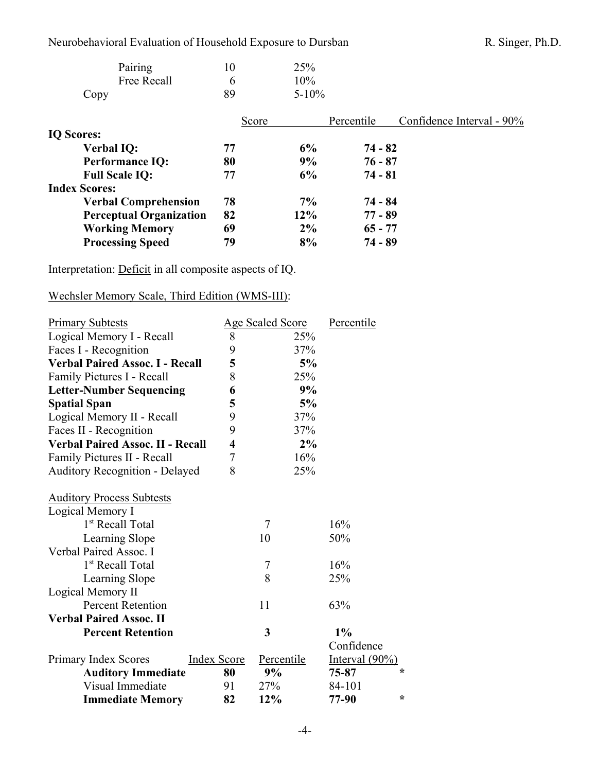| Pairing     | 10 | 25%        |
|-------------|----|------------|
| Free Recall | h  | 10%        |
| Copy        | 89 | $5 - 10\%$ |

|                                | Score |        | Percentile | Confidence Interval - 90% |
|--------------------------------|-------|--------|------------|---------------------------|
| <b>IQ Scores:</b>              |       |        |            |                           |
| <b>Verbal IQ:</b>              | 77    | 6%     | $74 - 82$  |                           |
| <b>Performance IQ:</b>         | 80    | 9%     | $76 - 87$  |                           |
| <b>Full Scale IQ:</b>          | 77    | 6%     | $74 - 81$  |                           |
| <b>Index Scores:</b>           |       |        |            |                           |
| <b>Verbal Comprehension</b>    | 78    | $7\%$  | $74 - 84$  |                           |
| <b>Perceptual Organization</b> | 82    | $12\%$ | $77 - 89$  |                           |
| <b>Working Memory</b>          | 69    | 2%     | $65 - 77$  |                           |
| <b>Processing Speed</b>        | 79    | 8%     | $74 - 89$  |                           |

Interpretation: Deficit in all composite aspects of IQ.

## Wechsler Memory Scale, Third Edition (WMS-III):

| <b>Primary Subtests</b>                 |                         | Age Scaled Score | Percentile        |
|-----------------------------------------|-------------------------|------------------|-------------------|
| Logical Memory I - Recall               | 8                       | 25%              |                   |
| Faces I - Recognition                   | 9                       | 37%              |                   |
| <b>Verbal Paired Assoc. I - Recall</b>  | 5                       | 5%               |                   |
| Family Pictures I - Recall              | 8                       | 25%              |                   |
| <b>Letter-Number Sequencing</b>         | 6                       | 9%               |                   |
| <b>Spatial Span</b>                     | 5                       | 5%               |                   |
| Logical Memory II - Recall              | 9                       | 37%              |                   |
| Faces II - Recognition                  | 9                       | 37%              |                   |
| <b>Verbal Paired Assoc. II - Recall</b> | $\overline{\mathbf{4}}$ | 2%               |                   |
| Family Pictures II - Recall             | 7                       | 16%              |                   |
| <b>Auditory Recognition - Delayed</b>   | 8                       | 25%              |                   |
| <b>Auditory Process Subtests</b>        |                         |                  |                   |
| Logical Memory I                        |                         |                  |                   |
| 1 <sup>st</sup> Recall Total            |                         | $\overline{7}$   | 16%               |
| Learning Slope                          |                         | 10               | 50%               |
| Verbal Paired Assoc. I                  |                         |                  |                   |
| 1 <sup>st</sup> Recall Total            |                         | 7                | 16%               |
| Learning Slope                          |                         | 8                | 25%               |
| Logical Memory II                       |                         |                  |                   |
| <b>Percent Retention</b>                |                         | 11               | 63%               |
| <b>Verbal Paired Assoc. II</b>          |                         |                  |                   |
| <b>Percent Retention</b>                |                         | 3                | 1%                |
|                                         |                         |                  | Confidence        |
| Primary Index Scores                    | <b>Index Score</b>      | Percentile       | Interval $(90\%)$ |
| <b>Auditory Immediate</b>               | 80                      | 9%               | ∗<br>75-87        |
| Visual Immediate                        | 91                      | 27%              | 84-101            |
| <b>Immediate Memory</b>                 | 82                      | 12%              | $\star$<br>77-90  |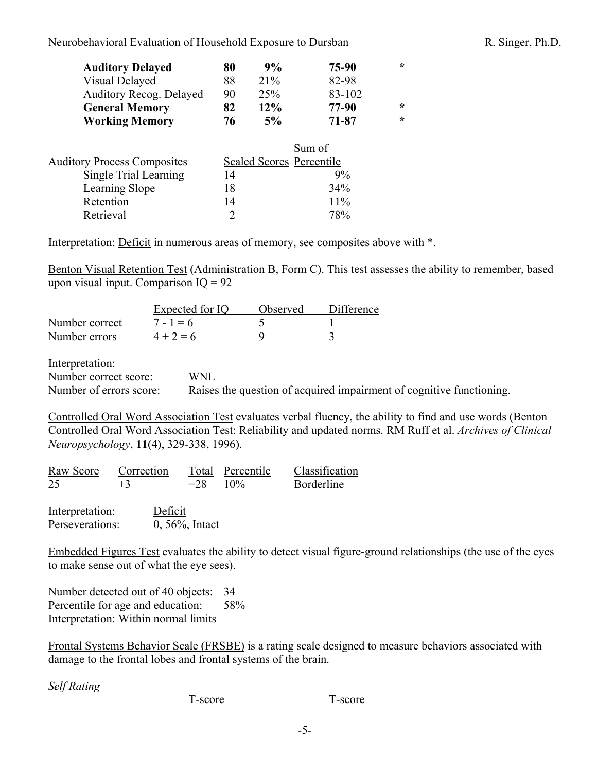| <b>Auditory Delayed</b>            | 80 | 9%                              | 75-90  | $\star$ |
|------------------------------------|----|---------------------------------|--------|---------|
| Visual Delayed                     | 88 | 21%                             | 82-98  |         |
| <b>Auditory Recog. Delayed</b>     | 90 | 25%                             | 83-102 |         |
| <b>General Memory</b>              | 82 | 12%                             | 77-90  | $\star$ |
| <b>Working Memory</b>              | 76 | 5%                              | 71-87  | $\star$ |
|                                    |    |                                 | Sum of |         |
| <b>Auditory Process Composites</b> |    | <b>Scaled Scores Percentile</b> |        |         |
| Single Trial Learning              | 14 |                                 | 9%     |         |
| Learning Slope                     | 18 |                                 | 34%    |         |

Interpretation: Deficit in numerous areas of memory, see composites above with \*.

Benton Visual Retention Test (Administration B, Form C). This test assesses the ability to remember, based upon visual input. Comparison  $IQ = 92$ 

|                | Expected for IQ | Observed | Difference |
|----------------|-----------------|----------|------------|
| Number correct | $7 - 1 = 6$     |          |            |
| Number errors  | $4 + 2 = 6$     |          |            |

Retention  $14$  11% Retrieval 2 78%

Interpretation:

Number correct score: WNL

Number of errors score: Raises the question of acquired impairment of cognitive functioning.

Controlled Oral Word Association Test evaluates verbal fluency, the ability to find and use words (Benton Controlled Oral Word Association Test: Reliability and updated norms. RM Ruff et al. *Archives of Clinical Neuropsychology*, **11**(4), 329-338, 1996).

|    | Raw Score Correction |            | Total Percentile | Classification |
|----|----------------------|------------|------------------|----------------|
| 25 | $+3$                 | $= 28$ 10% |                  | Borderline     |
|    | $\sim$ $\sim$ $\sim$ |            |                  |                |

Interpretation: Deficit Perseverations: 0, 56%, Intact

Embedded Figures Test evaluates the ability to detect visual figure-ground relationships (the use of the eyes to make sense out of what the eye sees).

Number detected out of 40 objects: 34 Percentile for age and education: 58% Interpretation: Within normal limits

Frontal Systems Behavior Scale (FRSBE) is a rating scale designed to measure behaviors associated with damage to the frontal lobes and frontal systems of the brain.

*Self Rating*

T-score T-score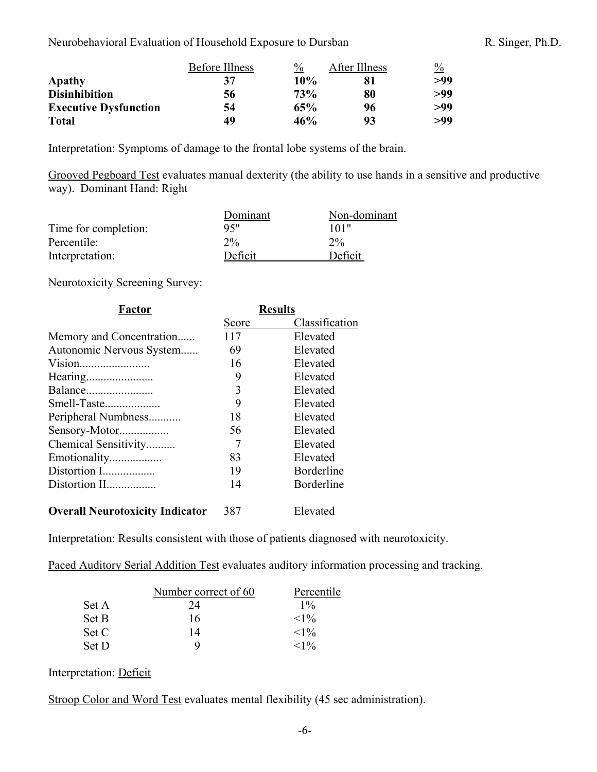|                              | <b>Before Illness</b> | $\frac{0}{0}$ | After Illness | $\frac{0}{0}$ |
|------------------------------|-----------------------|---------------|---------------|---------------|
| Apathy                       | 37                    | 10%           | 81            | >99           |
| <b>Disinhibition</b>         | 56                    | <b>73%</b>    | 80            | >99           |
| <b>Executive Dysfunction</b> | 54                    | 65%           | 96            | >99           |
| <b>Total</b>                 | 49                    | 46%           | 93            | >99           |

Interpretation: Symptoms of damage to the frontal lobe systems of the brain.

Grooved Pegboard Test evaluates manual dexterity (the ability to use hands in a sensitive and productive way). Dominant Hand: Right

|                      | Dominant | Non-dominant |
|----------------------|----------|--------------|
| Time for completion: | 95"      | 101"         |
| Percentile:          | $2\%$    | $2\%$        |
| Interpretation:      | Deficit  | Deficit      |

## Neurotoxicity Screening Survey:

| Factor                   | <b>Results</b> |                   |
|--------------------------|----------------|-------------------|
|                          | Score          | Classification    |
| Memory and Concentration | 117            | Elevated          |
| Autonomic Nervous System | 69             | Elevated          |
| Vision                   | 16             | Elevated          |
|                          | 9              | Elevated          |
| Balance                  | 3              | Elevated          |
| Smell-Taste              | 9              | Elevated          |
| Peripheral Numbness      | 18             | Elevated          |
| Sensory-Motor            | 56             | Elevated          |
| Chemical Sensitivity     |                | Elevated          |
| Emotionality             | 83             | Elevated          |
| Distortion I             | 19             | <b>Borderline</b> |
| Distortion II            | 14             | <b>Borderline</b> |
|                          |                |                   |

# **Overall Neurotoxicity Indicator** 387 Elevated

Interpretation: Results consistent with those of patients diagnosed with neurotoxicity.

Paced Auditory Serial Addition Test evaluates auditory information processing and tracking.

|       | Number correct of 60 | Percentile |
|-------|----------------------|------------|
| Set A | 24                   | $1\%$      |
| Set B | 16                   | ${<}1\%$   |
| Set C | 14                   | ${<}1\%$   |
| Set D | Q                    | ${<}1\%$   |

## Interpretation: Deficit

Stroop Color and Word Test evaluates mental flexibility (45 sec administration).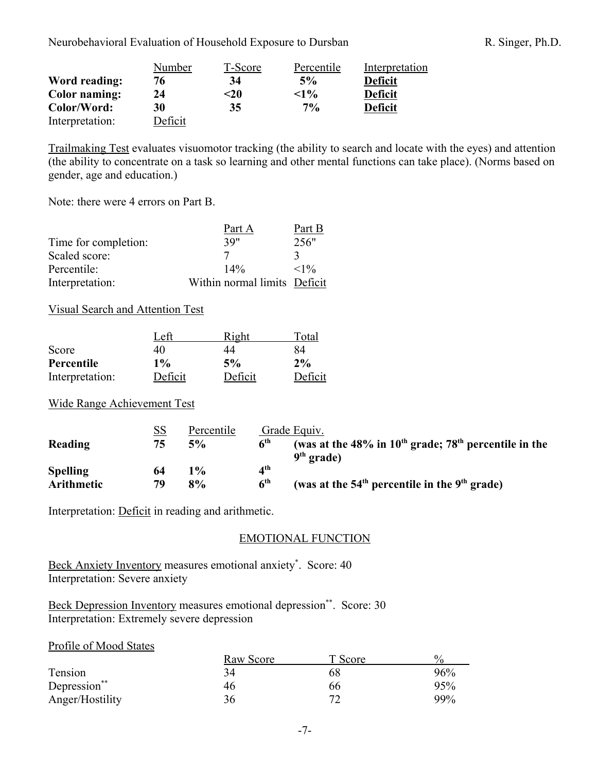|                      | Number  | T-Score | Percentile | Interpretation |
|----------------------|---------|---------|------------|----------------|
| Word reading:        | 76      | 34      | 5%         | <b>Deficit</b> |
| <b>Color</b> naming: | 24      | <20     | $<1\%$     | <b>Deficit</b> |
| Color/Word:          | 30      | 35      | $7\%$      | <b>Deficit</b> |
| Interpretation:      | Deficit |         |            |                |

Trailmaking Test evaluates visuomotor tracking (the ability to search and locate with the eyes) and attention (the ability to concentrate on a task so learning and other mental functions can take place). (Norms based on gender, age and education.)

Note: there were 4 errors on Part B.

|                      | Part A                       | Part B   |
|----------------------|------------------------------|----------|
| Time for completion: | 39"                          | 256"     |
| Scaled score:        |                              | 3        |
| Percentile:          | $14\%$                       | ${<}1\%$ |
| Interpretation:      | Within normal limits Deficit |          |

#### Visual Search and Attention Test

|                 | Left    | Right   | Total   |
|-----------------|---------|---------|---------|
| Score           | 40      | 44      | 84      |
| Percentile      | $1\%$   | 5%      | $2\%$   |
| Interpretation: | Deficit | Deficit | Deficit |

Wide Range Achievement Test

|                   | <u>SS</u> | Percentile |                          | Grade Equiv.                                                                           |
|-------------------|-----------|------------|--------------------------|----------------------------------------------------------------------------------------|
| Reading           | 75        | 5%         | 6 <sup>th</sup>          | (was at the 48% in $10^{th}$ grade; 78 <sup>th</sup> percentile in the<br>$9th$ grade) |
| <b>Spelling</b>   | 64        | $1\%$      | $\mathbf{A}^{\text{th}}$ |                                                                                        |
| <b>Arithmetic</b> | 79        | 8%         | $\mathbf{A}^{\text{th}}$ | (was at the $54th$ percentile in the $9th$ grade)                                      |

Interpretation: Deficit in reading and arithmetic.

## EMOTIONAL FUNCTION

Beck Anxiety Inventory measures emotional anxiety\*. Score: 40 Interpretation: Severe anxiety

Beck Depression Inventory measures emotional depression\*\*. Score: 30 Interpretation: Extremely severe depression

#### Profile of Mood States

|                 | Raw Score | T Score | $\frac{0}{0}$ |
|-----------------|-----------|---------|---------------|
| Tension         | 34        | 68      | 96%           |
| Depression**    | 46        | 66      | 95%           |
| Anger/Hostility | 36        | רי      | 99%           |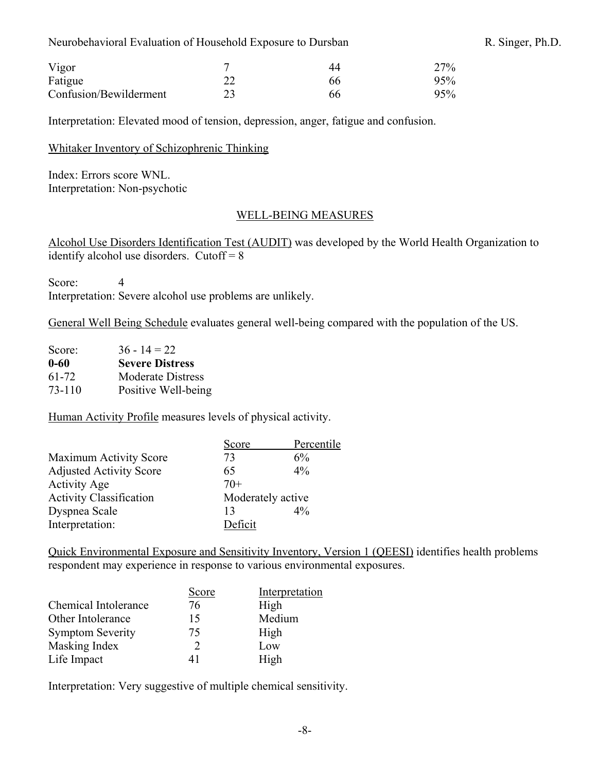| Vigor                  | - | 44 | 27% |
|------------------------|---|----|-----|
| Fatigue                |   | 66 | 95% |
| Confusion/Bewilderment |   | 66 | 95% |

Interpretation: Elevated mood of tension, depression, anger, fatigue and confusion.

#### Whitaker Inventory of Schizophrenic Thinking

Index: Errors score WNL. Interpretation: Non-psychotic

#### WELL-BEING MEASURES

Alcohol Use Disorders Identification Test (AUDIT) was developed by the World Health Organization to identify alcohol use disorders. Cutoff  $= 8$ 

Score: 4 Interpretation: Severe alcohol use problems are unlikely.

General Well Being Schedule evaluates general well-being compared with the population of the US.

| Score: | $36 - 14 = 22$           |
|--------|--------------------------|
| 0-60   | <b>Severe Distress</b>   |
| 61-72  | <b>Moderate Distress</b> |
| 73-110 | Positive Well-being      |

Human Activity Profile measures levels of physical activity.

|                                | Score             | Percentile |
|--------------------------------|-------------------|------------|
| <b>Maximum Activity Score</b>  | 73                | 6%         |
| <b>Adjusted Activity Score</b> | 65                | $4\%$      |
| <b>Activity Age</b>            | $70+$             |            |
| <b>Activity Classification</b> | Moderately active |            |
| Dyspnea Scale                  | 13                | $4\%$      |
| Interpretation:                | Deficit           |            |

Quick Environmental Exposure and Sensitivity Inventory, Version 1 (QEESI) identifies health problems respondent may experience in response to various environmental exposures.

|                         | Score | Interpretation |
|-------------------------|-------|----------------|
| Chemical Intolerance    | 76    | High           |
| Other Intolerance       | 15    | Medium         |
| <b>Symptom Severity</b> | 75    | High           |
| Masking Index           | 2     | Low            |
| Life Impact             | 41    | High           |

Interpretation: Very suggestive of multiple chemical sensitivity.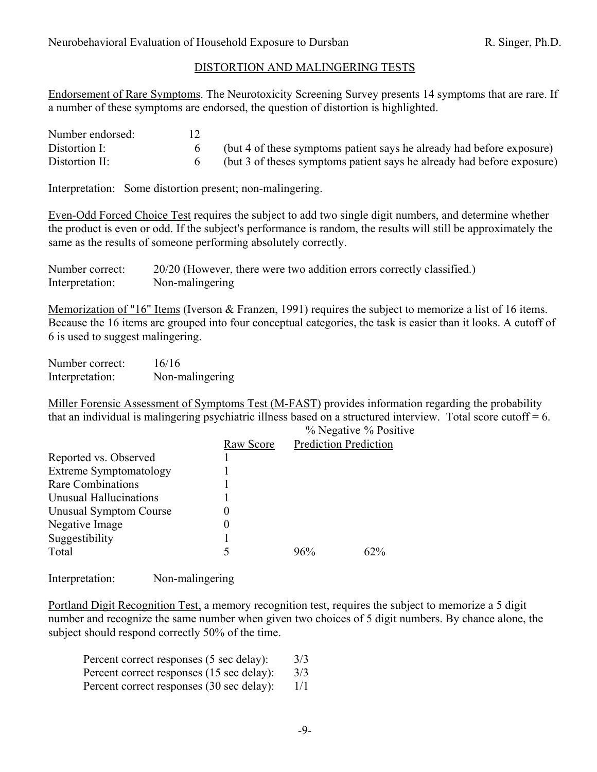# DISTORTION AND MALINGERING TESTS

Endorsement of Rare Symptoms. The Neurotoxicity Screening Survey presents 14 symptoms that are rare. If a number of these symptoms are endorsed, the question of distortion is highlighted.

| Number endorsed: |                                                                        |
|------------------|------------------------------------------------------------------------|
| Distortion I:    | (but 4 of these symptoms patient says he already had before exposure)  |
| Distortion II:   | (but 3 of theses symptoms patient says he already had before exposure) |

Interpretation: Some distortion present; non-malingering.

Even-Odd Forced Choice Test requires the subject to add two single digit numbers, and determine whether the product is even or odd. If the subject's performance is random, the results will still be approximately the same as the results of someone performing absolutely correctly.

| Number correct: | 20/20 (However, there were two addition errors correctly classified.) |
|-----------------|-----------------------------------------------------------------------|
| Interpretation: | Non-malingering                                                       |

Memorization of "16" Items (Iverson & Franzen, 1991) requires the subject to memorize a list of 16 items. Because the 16 items are grouped into four conceptual categories, the task is easier than it looks. A cutoff of 6 is used to suggest malingering.

| Number correct: | 16/16           |
|-----------------|-----------------|
| Interpretation: | Non-malingering |

Miller Forensic Assessment of Symptoms Test (M-FAST) provides information regarding the probability that an individual is malingering psychiatric illness based on a structured interview. Total score cutoff  $= 6$ .

| thur an mary ratual to manifesting poyentantly millebo oubed on a biractured micr |           |     |                              |  |
|-----------------------------------------------------------------------------------|-----------|-----|------------------------------|--|
|                                                                                   |           |     | % Negative % Positive        |  |
|                                                                                   | Raw Score |     | <b>Prediction Prediction</b> |  |
| Reported vs. Observed                                                             |           |     |                              |  |
| Extreme Symptomatology                                                            |           |     |                              |  |
| <b>Rare Combinations</b>                                                          |           |     |                              |  |
| Unusual Hallucinations                                                            |           |     |                              |  |
| Unusual Symptom Course                                                            | 0         |     |                              |  |
| Negative Image                                                                    | 0         |     |                              |  |
| Suggestibility                                                                    |           |     |                              |  |
| Total                                                                             | 5         | 96% | 62%                          |  |
|                                                                                   |           |     |                              |  |

Interpretation: Non-malingering

Portland Digit Recognition Test, a memory recognition test, requires the subject to memorize a 5 digit number and recognize the same number when given two choices of 5 digit numbers. By chance alone, the subject should respond correctly 50% of the time.

| Percent correct responses (5 sec delay):  | 3/3 |
|-------------------------------------------|-----|
| Percent correct responses (15 sec delay): | 3/3 |
| Percent correct responses (30 sec delay): | 1/1 |